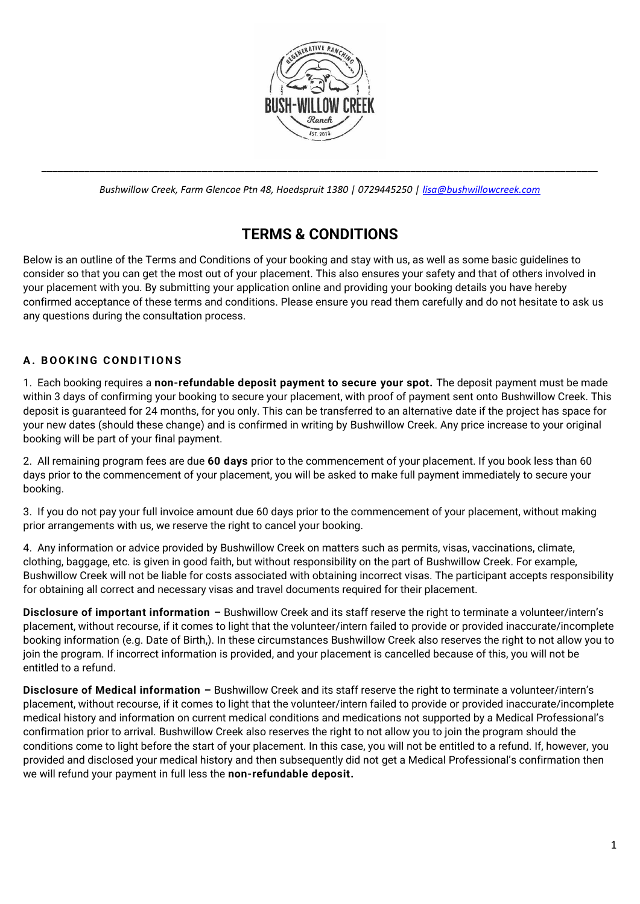

\_\_\_\_\_\_\_\_\_\_\_\_\_\_\_\_\_\_\_\_\_\_\_\_\_\_\_\_\_\_\_\_\_\_\_\_\_\_\_\_\_\_\_\_\_\_\_\_\_\_\_\_\_\_\_\_\_\_\_\_\_\_\_\_\_\_\_\_\_\_\_\_\_\_\_\_\_\_\_\_\_\_\_\_\_\_\_\_\_\_\_\_\_\_\_\_\_\_\_\_\_\_\_\_ *Bushwillow Creek, Farm Glencoe Ptn 48, Hoedspruit 1380 | 0729445250 | [lisa@bushwillowcreek.com](mailto:lisa@bushwillowcreek.com)*

# **TERMS & CONDITIONS**

Below is an outline of the Terms and Conditions of your booking and stay with us, as well as some basic guidelines to consider so that you can get the most out of your placement. This also ensures your safety and that of others involved in your placement with you. By submitting your application online and providing your booking details you have hereby confirmed acceptance of these terms and conditions. Please ensure you read them carefully and do not hesitate to ask us any questions during the consultation process.

### **A. B O O K I N G C O N D I T I O N S**

1. Each booking requires a **non-refundable deposit payment to secure your spot.** The deposit payment must be made within 3 days of confirming your booking to secure your placement, with proof of payment sent onto Bushwillow Creek. This deposit is guaranteed for 24 months, for you only. This can be transferred to an alternative date if the project has space for your new dates (should these change) and is confirmed in writing by Bushwillow Creek. Any price increase to your original booking will be part of your final payment.

2. All remaining program fees are due **60 days** prior to the commencement of your placement. If you book less than 60 days prior to the commencement of your placement, you will be asked to make full payment immediately to secure your booking.

3. If you do not pay your full invoice amount due 60 days prior to the commencement of your placement, without making prior arrangements with us, we reserve the right to cancel your booking.

4. Any information or advice provided by Bushwillow Creek on matters such as permits, visas, vaccinations, climate, clothing, baggage, etc. is given in good faith, but without responsibility on the part of Bushwillow Creek. For example, Bushwillow Creek will not be liable for costs associated with obtaining incorrect visas. The participant accepts responsibility for obtaining all correct and necessary visas and travel documents required for their placement.

**Disclosure of important information –** Bushwillow Creek and its staff reserve the right to terminate a volunteer/intern's placement, without recourse, if it comes to light that the volunteer/intern failed to provide or provided inaccurate/incomplete booking information (e.g. Date of Birth,). In these circumstances Bushwillow Creek also reserves the right to not allow you to join the program. If incorrect information is provided, and your placement is cancelled because of this, you will not be entitled to a refund.

**Disclosure of Medical information –** Bushwillow Creek and its staff reserve the right to terminate a volunteer/intern's placement, without recourse, if it comes to light that the volunteer/intern failed to provide or provided inaccurate/incomplete medical history and information on current medical conditions and medications not supported by a Medical Professional's confirmation prior to arrival. Bushwillow Creek also reserves the right to not allow you to join the program should the conditions come to light before the start of your placement. In this case, you will not be entitled to a refund. If, however, you provided and disclosed your medical history and then subsequently did not get a Medical Professional's confirmation then we will refund your payment in full less the **non-refundable deposit.**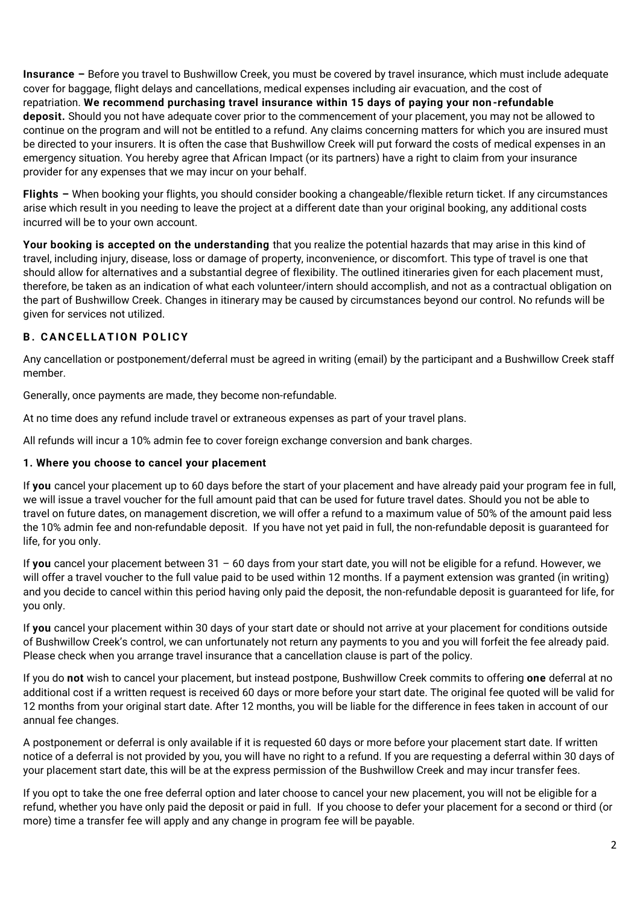**Insurance –** Before you travel to Bushwillow Creek, you must be covered by travel insurance, which must include adequate cover for baggage, flight delays and cancellations, medical expenses including air evacuation, and the cost of repatriation. **We recommend purchasing travel insurance within 15 days of paying your non-refundable deposit.** Should you not have adequate cover prior to the commencement of your placement, you may not be allowed to continue on the program and will not be entitled to a refund. Any claims concerning matters for which you are insured must be directed to your insurers. It is often the case that Bushwillow Creek will put forward the costs of medical expenses in an emergency situation. You hereby agree that African Impact (or its partners) have a right to claim from your insurance provider for any expenses that we may incur on your behalf.

**Flights –** When booking your flights, you should consider booking a changeable/flexible return ticket. If any circumstances arise which result in you needing to leave the project at a different date than your original booking, any additional costs incurred will be to your own account.

**Your booking is accepted on the understanding** that you realize the potential hazards that may arise in this kind of travel, including injury, disease, loss or damage of property, inconvenience, or discomfort. This type of travel is one that should allow for alternatives and a substantial degree of flexibility. The outlined itineraries given for each placement must, therefore, be taken as an indication of what each volunteer/intern should accomplish, and not as a contractual obligation on the part of Bushwillow Creek. Changes in itinerary may be caused by circumstances beyond our control. No refunds will be given for services not utilized.

## **B. CANCELLATION POLICY**

Any cancellation or postponement/deferral must be agreed in writing (email) by the participant and a Bushwillow Creek staff member.

Generally, once payments are made, they become non-refundable.

At no time does any refund include travel or extraneous expenses as part of your travel plans.

All refunds will incur a 10% admin fee to cover foreign exchange conversion and bank charges.

#### **1. Where you choose to cancel your placement**

If **you** cancel your placement up to 60 days before the start of your placement and have already paid your program fee in full, we will issue a travel voucher for the full amount paid that can be used for future travel dates. Should you not be able to travel on future dates, on management discretion, we will offer a refund to a maximum value of 50% of the amount paid less the 10% admin fee and non-refundable deposit. If you have not yet paid in full, the non-refundable deposit is guaranteed for life, for you only.

If **you** cancel your placement between 31 – 60 days from your start date, you will not be eligible for a refund. However, we will offer a travel voucher to the full value paid to be used within 12 months. If a payment extension was granted (in writing) and you decide to cancel within this period having only paid the deposit, the non-refundable deposit is guaranteed for life, for you only.

If **you** cancel your placement within 30 days of your start date or should not arrive at your placement for conditions outside of Bushwillow Creek's control, we can unfortunately not return any payments to you and you will forfeit the fee already paid. Please check when you arrange travel insurance that a cancellation clause is part of the policy.

If you do **not** wish to cancel your placement, but instead postpone, Bushwillow Creek commits to offering **one** deferral at no additional cost if a written request is received 60 days or more before your start date. The original fee quoted will be valid for 12 months from your original start date. After 12 months, you will be liable for the difference in fees taken in account of our annual fee changes.

A postponement or deferral is only available if it is requested 60 days or more before your placement start date. If written notice of a deferral is not provided by you, you will have no right to a refund. If you are requesting a deferral within 30 days of your placement start date, this will be at the express permission of the Bushwillow Creek and may incur transfer fees.

If you opt to take the one free deferral option and later choose to cancel your new placement, you will not be eligible for a refund, whether you have only paid the deposit or paid in full. If you choose to defer your placement for a second or third (or more) time a transfer fee will apply and any change in program fee will be payable.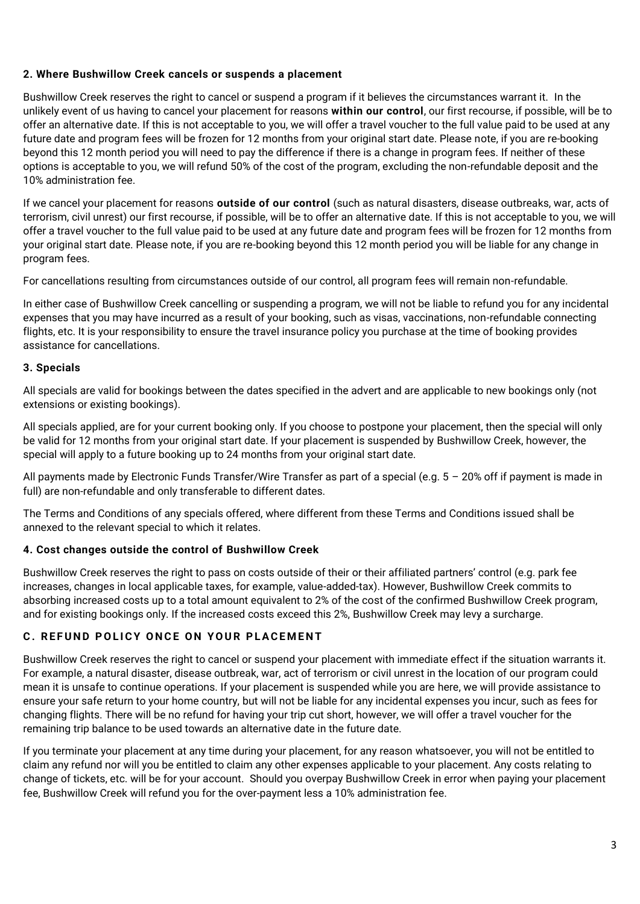#### **2. Where Bushwillow Creek cancels or suspends a placement**

Bushwillow Creek reserves the right to cancel or suspend a program if it believes the circumstances warrant it. In the unlikely event of us having to cancel your placement for reasons **within our control**, our first recourse, if possible, will be to offer an alternative date. If this is not acceptable to you, we will offer a travel voucher to the full value paid to be used at any future date and program fees will be frozen for 12 months from your original start date. Please note, if you are re-booking beyond this 12 month period you will need to pay the difference if there is a change in program fees. If neither of these options is acceptable to you, we will refund 50% of the cost of the program, excluding the non-refundable deposit and the 10% administration fee.

If we cancel your placement for reasons **outside of our control** (such as natural disasters, disease outbreaks, war, acts of terrorism, civil unrest) our first recourse, if possible, will be to offer an alternative date. If this is not acceptable to you, we will offer a travel voucher to the full value paid to be used at any future date and program fees will be frozen for 12 months from your original start date. Please note, if you are re-booking beyond this 12 month period you will be liable for any change in program fees.

For cancellations resulting from circumstances outside of our control, all program fees will remain non-refundable.

In either case of Bushwillow Creek cancelling or suspending a program, we will not be liable to refund you for any incidental expenses that you may have incurred as a result of your booking, such as visas, vaccinations, non-refundable connecting flights, etc. It is your responsibility to ensure the travel insurance policy you purchase at the time of booking provides assistance for cancellations.

#### **3. Specials**

All specials are valid for bookings between the dates specified in the advert and are applicable to new bookings only (not extensions or existing bookings).

All specials applied, are for your current booking only. If you choose to postpone your placement, then the special will only be valid for 12 months from your original start date. If your placement is suspended by Bushwillow Creek, however, the special will apply to a future booking up to 24 months from your original start date.

All payments made by Electronic Funds Transfer/Wire Transfer as part of a special (e.g. 5 – 20% off if payment is made in full) are non-refundable and only transferable to different dates.

The Terms and Conditions of any specials offered, where different from these Terms and Conditions issued shall be annexed to the relevant special to which it relates.

#### **4. Cost changes outside the control of Bushwillow Creek**

Bushwillow Creek reserves the right to pass on costs outside of their or their affiliated partners' control (e.g. park fee increases, changes in local applicable taxes, for example, value-added-tax). However, Bushwillow Creek commits to absorbing increased costs up to a total amount equivalent to 2% of the cost of the confirmed Bushwillow Creek program, and for existing bookings only. If the increased costs exceed this 2%, Bushwillow Creek may levy a surcharge.

#### **C. REFUND POLICY ONCE ON YOUR PLACEMENT**

Bushwillow Creek reserves the right to cancel or suspend your placement with immediate effect if the situation warrants it. For example, a natural disaster, disease outbreak, war, act of terrorism or civil unrest in the location of our program could mean it is unsafe to continue operations. If your placement is suspended while you are here, we will provide assistance to ensure your safe return to your home country, but will not be liable for any incidental expenses you incur, such as fees for changing flights. There will be no refund for having your trip cut short, however, we will offer a travel voucher for the remaining trip balance to be used towards an alternative date in the future date.

If you terminate your placement at any time during your placement, for any reason whatsoever, you will not be entitled to claim any refund nor will you be entitled to claim any other expenses applicable to your placement. Any costs relating to change of tickets, etc. will be for your account. Should you overpay Bushwillow Creek in error when paying your placement fee, Bushwillow Creek will refund you for the over-payment less a 10% administration fee.